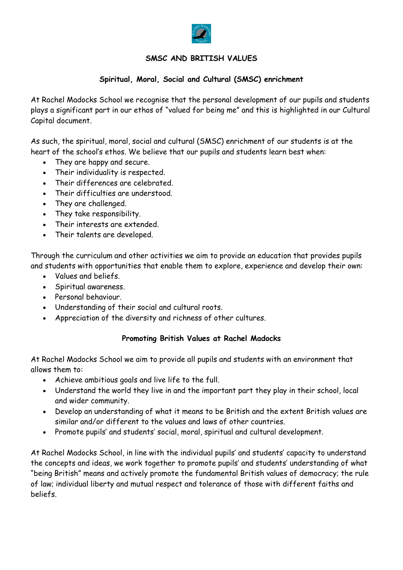

# SMSC AND BRITISH VALUES

# Spiritual, Moral, Social and Cultural (SMSC) enrichment

At Rachel Madocks School we recognise that the personal development of our pupils and students plays a significant part in our ethos of "valued for being me" and this is highlighted in our Cultural Capital document.

As such, the spiritual, moral, social and cultural (SMSC) enrichment of our students is at the heart of the school's ethos. We believe that our pupils and students learn best when:

- They are happy and secure.
- Their individuality is respected.
- Their differences are celebrated.
- Their difficulties are understood.
- They are challenged.
- They take responsibility.
- Their interests are extended.
- Their talents are developed.

Through the curriculum and other activities we aim to provide an education that provides pupils and students with opportunities that enable them to explore, experience and develop their own:

- Values and beliefs.
- Spiritual awareness.
- Personal behaviour.
- Understanding of their social and cultural roots.
- Appreciation of the diversity and richness of other cultures.

## Promoting British Values at Rachel Madocks

At Rachel Madocks School we aim to provide all pupils and students with an environment that allows them to:

- Achieve ambitious goals and live life to the full.
- Understand the world they live in and the important part they play in their school, local and wider community.
- Develop an understanding of what it means to be British and the extent British values are similar and/or different to the values and laws of other countries.
- Promote pupils' and students' social, moral, spiritual and cultural development.

At Rachel Madocks School, in line with the individual pupils' and students' capacity to understand the concepts and ideas, we work together to promote pupils' and students' understanding of what "being British" means and actively promote the fundamental British values of democracy; the rule of law; individual liberty and mutual respect and tolerance of those with different faiths and beliefs.